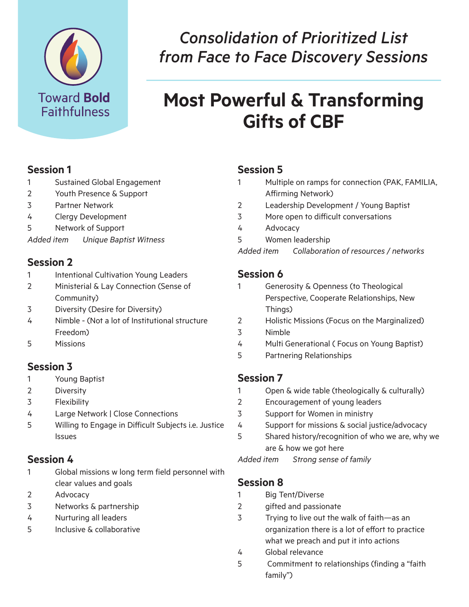

# *Consolidation of Prioritized List from Face to Face Discovery Sessions*

# **Most Powerful & Transforming Gifts of CBF**

#### **Session 1**

- 1 Sustained Global Engagement
- 2 Youth Presence & Support
- 3 Partner Network
- 4 Clergy Development
- 5 Network of Support

*Added item Unique Baptist Witness* 

#### **Session 2**

- 1 Intentional Cultivation Young Leaders
- 2 Ministerial & Lay Connection (Sense of Community)
- 3 Diversity (Desire for Diversity)
- 4 Nimble (Not a lot of Institutional structure Freedom)
- 5 Missions

#### **Session 3**

- 1 Young Baptist
- 2 Diversity
- 3 Flexibility
- 4 Large Network | Close Connections
- 5 Willing to Engage in Difficult Subjects i.e. Justice Issues

# **Session 4**

- 1 Global missions w long term field personnel with clear values and goals
- 2 Advocacy
- 3 Networks & partnership
- 4 Nurturing all leaders
- 5 Inclusive & collaborative

### **Session 5**

- 1 Multiple on ramps for connection (PAK, FAMILIA, Affirming Network)
- 2 Leadership Development / Young Baptist
- 3 More open to difficult conversations
- 4 Advocacy
- 5 Women leadership
- *Added item Collaboration of resources / networks*

#### **Session 6**

- 1 Generosity & Openness (to Theological Perspective, Cooperate Relationships, New Things)
- 2 Holistic Missions (Focus on the Marginalized)
- 3 Nimble
- 4 Multi Generational ( Focus on Young Baptist)
- 5 Partnering Relationships

#### **Session 7**

- 1 Open & wide table (theologically & culturally)
- 2 Encouragement of young leaders
- 3 Support for Women in ministry
- 4 Support for missions & social justice/advocacy
- 5 Shared history/recognition of who we are, why we are & how we got here

*Added item Strong sense of family* 

#### **Session 8**

- 1 Big Tent/Diverse
- 2 gifted and passionate
- 3 Trying to live out the walk of faith—as an organization there is a lot of effort to practice what we preach and put it into actions
- 4 Global relevance
- 5 Commitment to relationships (finding a "faith family")